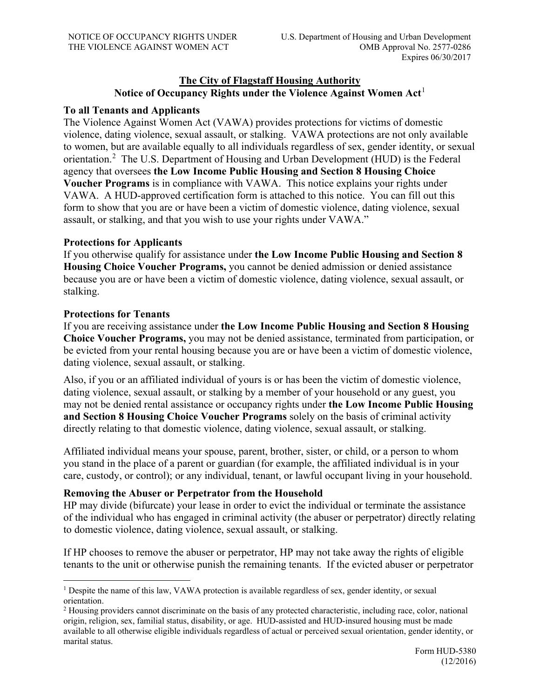## **The City of Flagstaff Housing Authority Notice of Occupancy Rights under the Violence Against Women Act**[1](#page-0-0)

### **To all Tenants and Applicants**

The Violence Against Women Act (VAWA) provides protections for victims of domestic violence, dating violence, sexual assault, or stalking. VAWA protections are not only available to women, but are available equally to all individuals regardless of sex, gender identity, or sexual orientation.<sup>[2](#page-0-1)</sup> The U.S. Department of Housing and Urban Development (HUD) is the Federal agency that oversees **the Low Income Public Housing and Section 8 Housing Choice Voucher Programs** is in compliance with VAWA. This notice explains your rights under VAWA. A HUD-approved certification form is attached to this notice. You can fill out this form to show that you are or have been a victim of domestic violence, dating violence, sexual assault, or stalking, and that you wish to use your rights under VAWA."

### **Protections for Applicants**

If you otherwise qualify for assistance under **the Low Income Public Housing and Section 8 Housing Choice Voucher Programs,** you cannot be denied admission or denied assistance because you are or have been a victim of domestic violence, dating violence, sexual assault, or stalking.

### **Protections for Tenants**

If you are receiving assistance under **the Low Income Public Housing and Section 8 Housing Choice Voucher Programs,** you may not be denied assistance, terminated from participation, or be evicted from your rental housing because you are or have been a victim of domestic violence, dating violence, sexual assault, or stalking.

Also, if you or an affiliated individual of yours is or has been the victim of domestic violence, dating violence, sexual assault, or stalking by a member of your household or any guest, you may not be denied rental assistance or occupancy rights under **the Low Income Public Housing and Section 8 Housing Choice Voucher Programs** solely on the basis of criminal activity directly relating to that domestic violence, dating violence, sexual assault, or stalking.

Affiliated individual means your spouse, parent, brother, sister, or child, or a person to whom you stand in the place of a parent or guardian (for example, the affiliated individual is in your care, custody, or control); or any individual, tenant, or lawful occupant living in your household.

### **Removing the Abuser or Perpetrator from the Household**

HP may divide (bifurcate) your lease in order to evict the individual or terminate the assistance of the individual who has engaged in criminal activity (the abuser or perpetrator) directly relating to domestic violence, dating violence, sexual assault, or stalking.

If HP chooses to remove the abuser or perpetrator, HP may not take away the rights of eligible tenants to the unit or otherwise punish the remaining tenants. If the evicted abuser or perpetrator

<span id="page-0-0"></span><sup>&</sup>lt;sup>1</sup> Despite the name of this law, VAWA protection is available regardless of sex, gender identity, or sexual orientation.

<span id="page-0-1"></span><sup>&</sup>lt;sup>2</sup> Housing providers cannot discriminate on the basis of any protected characteristic, including race, color, national origin, religion, sex, familial status, disability, or age. HUD-assisted and HUD-insured housing must be made available to all otherwise eligible individuals regardless of actual or perceived sexual orientation, gender identity, or marital status.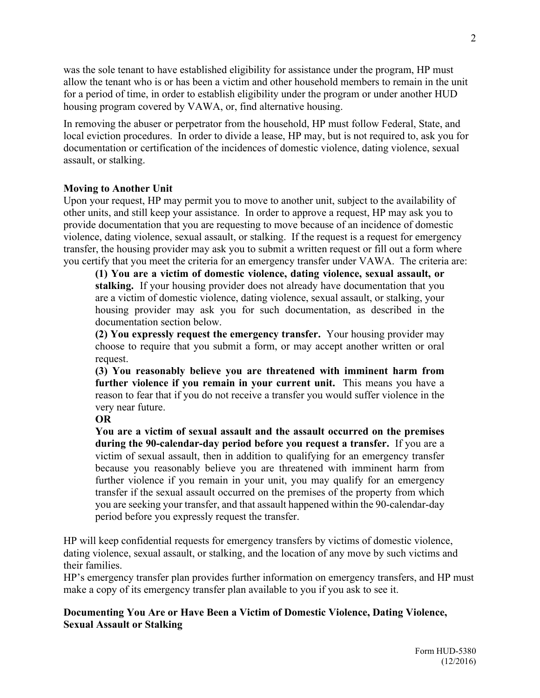was the sole tenant to have established eligibility for assistance under the program, HP must allow the tenant who is or has been a victim and other household members to remain in the unit for a period of time, in order to establish eligibility under the program or under another HUD housing program covered by VAWA, or, find alternative housing.

In removing the abuser or perpetrator from the household, HP must follow Federal, State, and local eviction procedures. In order to divide a lease, HP may, but is not required to, ask you for documentation or certification of the incidences of domestic violence, dating violence, sexual assault, or stalking.

#### **Moving to Another Unit**

Upon your request, HP may permit you to move to another unit, subject to the availability of other units, and still keep your assistance. In order to approve a request, HP may ask you to provide documentation that you are requesting to move because of an incidence of domestic violence, dating violence, sexual assault, or stalking. If the request is a request for emergency transfer, the housing provider may ask you to submit a written request or fill out a form where you certify that you meet the criteria for an emergency transfer under VAWA. The criteria are:

**(1) You are a victim of domestic violence, dating violence, sexual assault, or stalking.** If your housing provider does not already have documentation that you are a victim of domestic violence, dating violence, sexual assault, or stalking, your housing provider may ask you for such documentation, as described in the documentation section below.

**(2) You expressly request the emergency transfer.** Your housing provider may choose to require that you submit a form, or may accept another written or oral request.

**(3) You reasonably believe you are threatened with imminent harm from further violence if you remain in your current unit.** This means you have a reason to fear that if you do not receive a transfer you would suffer violence in the very near future.

#### **OR**

**You are a victim of sexual assault and the assault occurred on the premises during the 90-calendar-day period before you request a transfer.** If you are a victim of sexual assault, then in addition to qualifying for an emergency transfer because you reasonably believe you are threatened with imminent harm from further violence if you remain in your unit, you may qualify for an emergency transfer if the sexual assault occurred on the premises of the property from which you are seeking your transfer, and that assault happened within the 90-calendar-day period before you expressly request the transfer.

HP will keep confidential requests for emergency transfers by victims of domestic violence, dating violence, sexual assault, or stalking, and the location of any move by such victims and their families.

HP's emergency transfer plan provides further information on emergency transfers, and HP must make a copy of its emergency transfer plan available to you if you ask to see it.

### **Documenting You Are or Have Been a Victim of Domestic Violence, Dating Violence, Sexual Assault or Stalking**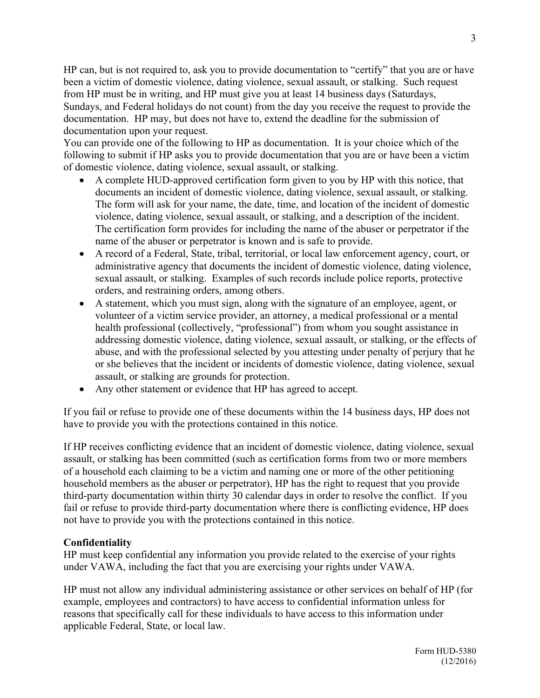HP can, but is not required to, ask you to provide documentation to "certify" that you are or have been a victim of domestic violence, dating violence, sexual assault, or stalking. Such request from HP must be in writing, and HP must give you at least 14 business days (Saturdays, Sundays, and Federal holidays do not count) from the day you receive the request to provide the documentation. HP may, but does not have to, extend the deadline for the submission of documentation upon your request.

You can provide one of the following to HP as documentation. It is your choice which of the following to submit if HP asks you to provide documentation that you are or have been a victim of domestic violence, dating violence, sexual assault, or stalking.

- A complete HUD-approved certification form given to you by HP with this notice, that documents an incident of domestic violence, dating violence, sexual assault, or stalking. The form will ask for your name, the date, time, and location of the incident of domestic violence, dating violence, sexual assault, or stalking, and a description of the incident. The certification form provides for including the name of the abuser or perpetrator if the name of the abuser or perpetrator is known and is safe to provide.
- A record of a Federal, State, tribal, territorial, or local law enforcement agency, court, or administrative agency that documents the incident of domestic violence, dating violence, sexual assault, or stalking. Examples of such records include police reports, protective orders, and restraining orders, among others.
- A statement, which you must sign, along with the signature of an employee, agent, or volunteer of a victim service provider, an attorney, a medical professional or a mental health professional (collectively, "professional") from whom you sought assistance in addressing domestic violence, dating violence, sexual assault, or stalking, or the effects of abuse, and with the professional selected by you attesting under penalty of perjury that he or she believes that the incident or incidents of domestic violence, dating violence, sexual assault, or stalking are grounds for protection.
- Any other statement or evidence that HP has agreed to accept.

If you fail or refuse to provide one of these documents within the 14 business days, HP does not have to provide you with the protections contained in this notice.

If HP receives conflicting evidence that an incident of domestic violence, dating violence, sexual assault, or stalking has been committed (such as certification forms from two or more members of a household each claiming to be a victim and naming one or more of the other petitioning household members as the abuser or perpetrator), HP has the right to request that you provide third-party documentation within thirty 30 calendar days in order to resolve the conflict. If you fail or refuse to provide third-party documentation where there is conflicting evidence, HP does not have to provide you with the protections contained in this notice.

### **Confidentiality**

HP must keep confidential any information you provide related to the exercise of your rights under VAWA, including the fact that you are exercising your rights under VAWA.

HP must not allow any individual administering assistance or other services on behalf of HP (for example, employees and contractors) to have access to confidential information unless for reasons that specifically call for these individuals to have access to this information under applicable Federal, State, or local law.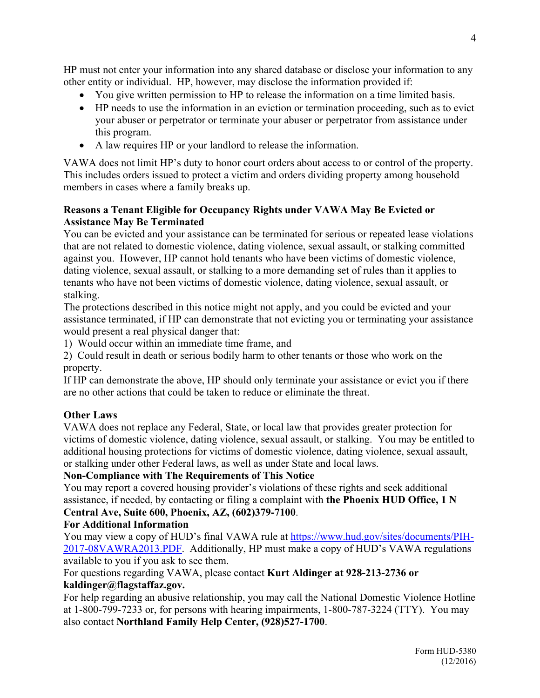HP must not enter your information into any shared database or disclose your information to any other entity or individual. HP, however, may disclose the information provided if:

- You give written permission to HP to release the information on a time limited basis.
- HP needs to use the information in an eviction or termination proceeding, such as to evict your abuser or perpetrator or terminate your abuser or perpetrator from assistance under this program.
- A law requires HP or your landlord to release the information.

VAWA does not limit HP's duty to honor court orders about access to or control of the property. This includes orders issued to protect a victim and orders dividing property among household members in cases where a family breaks up.

## **Reasons a Tenant Eligible for Occupancy Rights under VAWA May Be Evicted or Assistance May Be Terminated**

You can be evicted and your assistance can be terminated for serious or repeated lease violations that are not related to domestic violence, dating violence, sexual assault, or stalking committed against you. However, HP cannot hold tenants who have been victims of domestic violence, dating violence, sexual assault, or stalking to a more demanding set of rules than it applies to tenants who have not been victims of domestic violence, dating violence, sexual assault, or stalking.

The protections described in this notice might not apply, and you could be evicted and your assistance terminated, if HP can demonstrate that not evicting you or terminating your assistance would present a real physical danger that:

1) Would occur within an immediate time frame, and

2) Could result in death or serious bodily harm to other tenants or those who work on the property.

If HP can demonstrate the above, HP should only terminate your assistance or evict you if there are no other actions that could be taken to reduce or eliminate the threat.

# **Other Laws**

VAWA does not replace any Federal, State, or local law that provides greater protection for victims of domestic violence, dating violence, sexual assault, or stalking. You may be entitled to additional housing protections for victims of domestic violence, dating violence, sexual assault, or stalking under other Federal laws, as well as under State and local laws.

# **Non-Compliance with The Requirements of This Notice**

You may report a covered housing provider's violations of these rights and seek additional assistance, if needed, by contacting or filing a complaint with **the Phoenix HUD Office, 1 N Central Ave, Suite 600, Phoenix, AZ, (602)379-7100**.

# **For Additional Information**

You may view a copy of HUD's final VAWA rule at [https://www.hud.gov/sites/documents/PIH-](https://www.hud.gov/sites/documents/PIH-2017-08VAWRA2013.PDF)[2017-08VAWRA2013.PDF.](https://www.hud.gov/sites/documents/PIH-2017-08VAWRA2013.PDF) Additionally, HP must make a copy of HUD's VAWA regulations available to you if you ask to see them.

For questions regarding VAWA, please contact **Kurt Aldinger at 928-213-2736 or kaldinger@flagstaffaz.gov.**

For help regarding an abusive relationship, you may call the National Domestic Violence Hotline at 1-800-799-7233 or, for persons with hearing impairments, 1-800-787-3224 (TTY). You may also contact **Northland Family Help Center, (928)527-1700**.